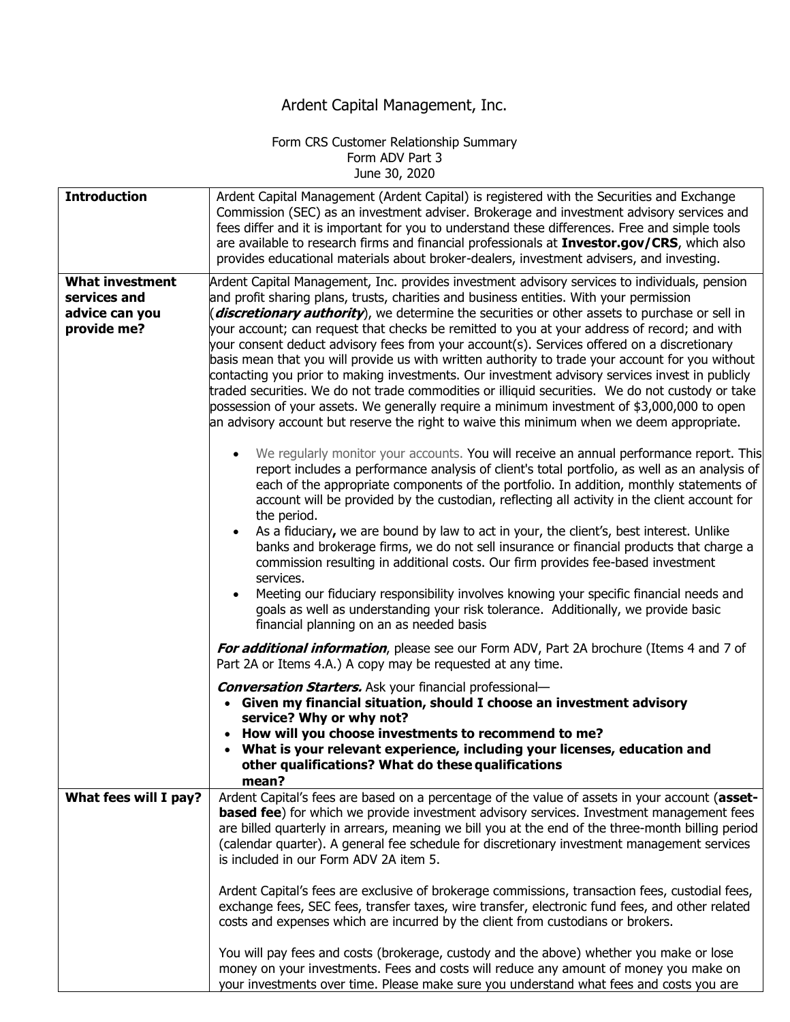## Ardent Capital Management, Inc.

## Form CRS Customer Relationship Summary Form ADV Part 3 June 30, 2020

| <b>Introduction</b>    | Ardent Capital Management (Ardent Capital) is registered with the Securities and Exchange<br>Commission (SEC) as an investment adviser. Brokerage and investment advisory services and<br>fees differ and it is important for you to understand these differences. Free and simple tools<br>are available to research firms and financial professionals at Investor.gov/CRS, which also<br>provides educational materials about broker-dealers, investment advisers, and investing.                                                                                                                                                                                                                |
|------------------------|----------------------------------------------------------------------------------------------------------------------------------------------------------------------------------------------------------------------------------------------------------------------------------------------------------------------------------------------------------------------------------------------------------------------------------------------------------------------------------------------------------------------------------------------------------------------------------------------------------------------------------------------------------------------------------------------------|
| <b>What investment</b> | Ardent Capital Management, Inc. provides investment advisory services to individuals, pension                                                                                                                                                                                                                                                                                                                                                                                                                                                                                                                                                                                                      |
| services and           | and profit sharing plans, trusts, charities and business entities. With your permission                                                                                                                                                                                                                                                                                                                                                                                                                                                                                                                                                                                                            |
| advice can you         | (discretionary authority), we determine the securities or other assets to purchase or sell in                                                                                                                                                                                                                                                                                                                                                                                                                                                                                                                                                                                                      |
| provide me?            | your account; can request that checks be remitted to you at your address of record; and with<br>your consent deduct advisory fees from your account(s). Services offered on a discretionary<br>basis mean that you will provide us with written authority to trade your account for you without<br>contacting you prior to making investments. Our investment advisory services invest in publicly<br>traded securities. We do not trade commodities or illiquid securities. We do not custody or take<br>possession of your assets. We generally require a minimum investment of \$3,000,000 to open<br>an advisory account but reserve the right to waive this minimum when we deem appropriate. |
|                        | We regularly monitor your accounts. You will receive an annual performance report. This<br>report includes a performance analysis of client's total portfolio, as well as an analysis of<br>each of the appropriate components of the portfolio. In addition, monthly statements of<br>account will be provided by the custodian, reflecting all activity in the client account for<br>the period.                                                                                                                                                                                                                                                                                                 |
|                        | As a fiduciary, we are bound by law to act in your, the client's, best interest. Unlike<br>banks and brokerage firms, we do not sell insurance or financial products that charge a<br>commission resulting in additional costs. Our firm provides fee-based investment<br>services.<br>Meeting our fiduciary responsibility involves knowing your specific financial needs and<br>goals as well as understanding your risk tolerance. Additionally, we provide basic                                                                                                                                                                                                                               |
|                        | financial planning on an as needed basis                                                                                                                                                                                                                                                                                                                                                                                                                                                                                                                                                                                                                                                           |
|                        | For additional information, please see our Form ADV, Part 2A brochure (Items 4 and 7 of<br>Part 2A or Items 4.A.) A copy may be requested at any time.                                                                                                                                                                                                                                                                                                                                                                                                                                                                                                                                             |
|                        | <b>Conversation Starters.</b> Ask your financial professional-<br>• Given my financial situation, should I choose an investment advisory<br>service? Why or why not?                                                                                                                                                                                                                                                                                                                                                                                                                                                                                                                               |
|                        | How will you choose investments to recommend to me?<br>• What is your relevant experience, including your licenses, education and<br>other qualifications? What do these qualifications<br>mean?                                                                                                                                                                                                                                                                                                                                                                                                                                                                                                   |
| What fees will I pay?  | Ardent Capital's fees are based on a percentage of the value of assets in your account (asset-<br><b>based fee</b> ) for which we provide investment advisory services. Investment management fees<br>are billed quarterly in arrears, meaning we bill you at the end of the three-month billing period<br>(calendar quarter). A general fee schedule for discretionary investment management services<br>is included in our Form ADV 2A item 5.                                                                                                                                                                                                                                                   |
|                        | Ardent Capital's fees are exclusive of brokerage commissions, transaction fees, custodial fees,<br>exchange fees, SEC fees, transfer taxes, wire transfer, electronic fund fees, and other related<br>costs and expenses which are incurred by the client from custodians or brokers.                                                                                                                                                                                                                                                                                                                                                                                                              |
|                        | You will pay fees and costs (brokerage, custody and the above) whether you make or lose<br>money on your investments. Fees and costs will reduce any amount of money you make on<br>your investments over time. Please make sure you understand what fees and costs you are                                                                                                                                                                                                                                                                                                                                                                                                                        |